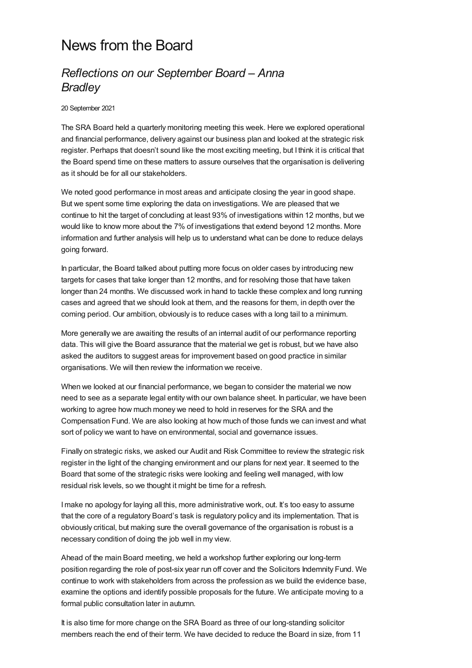## News from the Board

## *Reflections on our September Board – Anna Bradley*

20 September 2021

The SRA Board held a quarterly monitoring meeting this week. Here we explored operational and financial performance, delivery against our business plan and looked at the strategic risk register. Perhaps that doesn't sound like the most exciting meeting, but I think it is critical that the Board spend time on these matters to assure ourselves that the organisation is delivering as it should be for all our stakeholders.

We noted good performance in most areas and anticipate closing the year in good shape. But we spent some time exploring the data on investigations. We are pleased that we continue to hit the target of concluding at least 93% of investigations within 12 months, but we would like to know more about the 7% of investigations that extend beyond 12 months. More information and further analysis will help us to understand what can be done to reduce delays going forward.

In particular, the Board talked about putting more focus on older cases by introducing new targets for cases that take longer than 12 months, and for resolving those that have taken longer than 24 months. We discussed work in hand to tackle these complex and long running cases and agreed that we should look at them, and the reasons for them, in depth over the coming period. Our ambition, obviously is to reduce cases with a long tail to a minimum.

More generally we are awaiting the results of an internal audit of our performance reporting data. This will give the Board assurance that the material we get is robust, but we have also asked the auditors to suggest areas for improvement based on good practice in similar organisations. We will then review the information we receive.

When we looked at our financial performance, we began to consider the material we now need to see as a separate legal entity with our own balance sheet. In particular, we have been working to agree how much money we need to hold in reserves for the SRA and the Compensation Fund. We are also looking at how much of those funds we can invest and what sort of policy we want to have on environmental, social and governance issues.

Finally on strategic risks, we asked our Audit and Risk Committee to review the strategic risk register in the light of the changing environment and our plans for next year. It seemed to the Board that some of the strategic risks were looking and feeling well managed, with low residual risk levels, so we thought it might be time for a refresh.

I make no apology for laying all this, more administrative work, out. It's too easy to assume that the core of a regulatory Board's task is regulatory policy and its implementation. That is obviously critical, but making sure the overall governance of the organisation is robust is a necessary condition of doing the job well in my view.

Ahead of the main Board meeting, we held a workshop further exploring our long-term position regarding the role of post-six year run off cover and the Solicitors Indemnity Fund. We continue to work with stakeholders from across the profession as we build the evidence base, examine the options and identify possible proposals for the future. We anticipate moving to a formal public consultation later in autumn.

It is also time for more change on the SRA Board as three of our long-standing solicitor members reach the end of their term. We have decided to reduce the Board in size, from 11